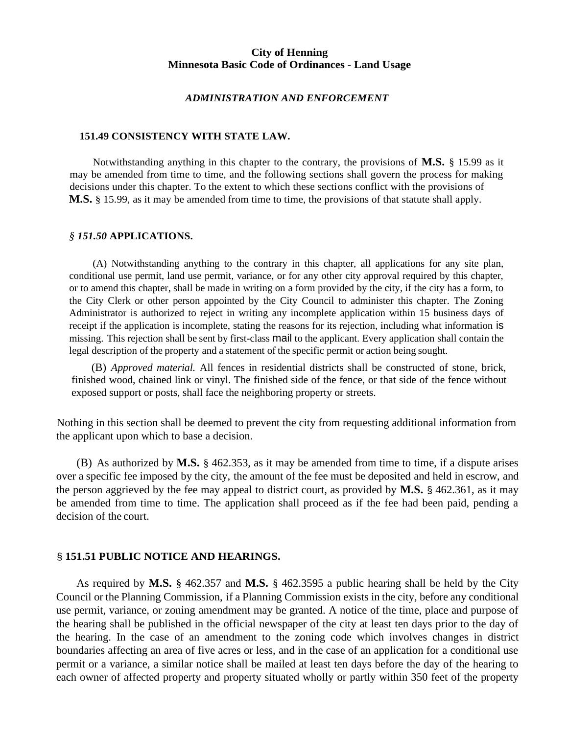#### *ADMINISTRATION AND ENFORCEMENT*

#### **151.49 CONSISTENCY WITH STATE LAW.**

Notwithstanding anything in this chapter to the contrary, the provisions of **M.S.** § 15.99 as it may be amended from time to time, and the following sections shall govern the process for making decisions under this chapter. To the extent to which these sections conflict with the provisions of **M.S.** § 15.99, as it may be amended from time to time, the provisions of that statute shall apply.

#### *§ 151.50* **APPLICATIONS.**

(A) Notwithstanding anything to the contrary in this chapter, all applications for any site plan, conditional use permit, land use permit, variance, or for any other city approval required by this chapter, or to amend this chapter, shall be made in writing on a form provided by the city, if the city has a form, to the City Clerk or other person appointed by the City Council to administer this chapter. The Zoning Administrator is authorized to reject in writing any incomplete application within 15 business days of receipt if the application is incomplete, stating the reasons for its rejection, including what information is missing. This rejection shall be sent by first-class mail to the applicant. Every application shall contain the legal description of the property and a statement of the specific permit or action being sought.

(B) *Approved material.* All fences in residential districts shall be constructed of stone, brick, finished wood, chained link or vinyl. The finished side of the fence, or that side of the fence without exposed support or posts, shall face the neighboring property or streets.

Nothing in this section shall be deemed to prevent the city from requesting additional information from the applicant upon which to base a decision.

(B) As authorized by **M.S.** § 462.353, as it may be amended from time to time, if a dispute arises over a specific fee imposed by the city, the amount of the fee must be deposited and held in escrow, and the person aggrieved by the fee may appeal to district court, as provided by **M.S.** § 462.361, as it may be amended from time to time. The application shall proceed as if the fee had been paid, pending a decision of the court.

#### § **151.51 PUBLIC NOTICE AND HEARINGS.**

As required by **M.S.** § 462.357 and **M.S.** § 462.3595 a public hearing shall be held by the City Council or the Planning Commission, if a Planning Commission exists in the city, before any conditional use permit, variance, or zoning amendment may be granted. A notice of the time, place and purpose of the hearing shall be published in the official newspaper of the city at least ten days prior to the day of the hearing. In the case of an amendment to the zoning code which involves changes in district boundaries affecting an area of five acres or less, and in the case of an application for a conditional use permit or a variance, a similar notice shall be mailed at least ten days before the day of the hearing to each owner of affected property and property situated wholly or partly within 350 feet of the property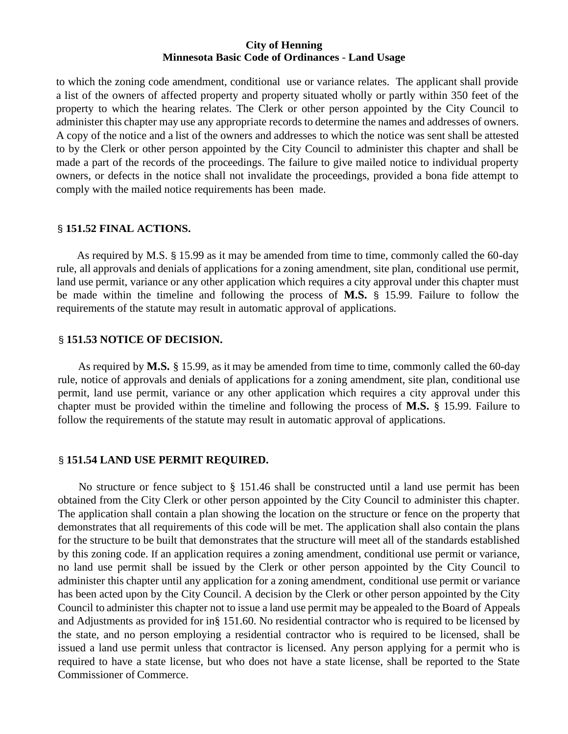to which the zoning code amendment, conditional use or variance relates. The applicant shall provide a list of the owners of affected property and property situated wholly or partly within 350 feet of the property to which the hearing relates. The Clerk or other person appointed by the City Council to administer this chapter may use any appropriate records to determine the names and addresses of owners. A copy of the notice and a list of the owners and addresses to which the notice was sent shall be attested to by the Clerk or other person appointed by the City Council to administer this chapter and shall be made a part of the records of the proceedings. The failure to give mailed notice to individual property owners, or defects in the notice shall not invalidate the proceedings, provided a bona fide attempt to comply with the mailed notice requirements has been made.

#### § **151.52 FINAL ACTIONS.**

As required by M.S. § 15.99 as it may be amended from time to time, commonly called the 60-day rule, all approvals and denials of applications for a zoning amendment, site plan, conditional use permit, land use permit, variance or any other application which requires a city approval under this chapter must be made within the timeline and following the process of **M.S.** § 15.99. Failure to follow the requirements of the statute may result in automatic approval of applications.

### § **151.53 NOTICE OF DECISION.**

As required by **M.S.** § 15.99, as it may be amended from time to time, commonly called the 60-day rule, notice of approvals and denials of applications for a zoning amendment, site plan, conditional use permit, land use permit, variance or any other application which requires a city approval under this chapter must be provided within the timeline and following the process of **M.S.** § 15.99. Failure to follow the requirements of the statute may result in automatic approval of applications.

# § **151.54 LAND USE PERMIT REQUIRED.**

No structure or fence subject to § 151.46 shall be constructed until a land use permit has been obtained from the City Clerk or other person appointed by the City Council to administer this chapter. The application shall contain a plan showing the location on the structure or fence on the property that demonstrates that all requirements of this code will be met. The application shall also contain the plans for the structure to be built that demonstrates that the structure will meet all of the standards established by this zoning code. If an application requires a zoning amendment, conditional use permit or variance, no land use permit shall be issued by the Clerk or other person appointed by the City Council to administer this chapter until any application for a zoning amendment, conditional use permit or variance has been acted upon by the City Council. A decision by the Clerk or other person appointed by the City Council to administer this chapter not to issue a land use permit may be appealed to the Board of Appeals and Adjustments as provided for in§ 151.60. No residential contractor who is required to be licensed by the state, and no person employing a residential contractor who is required to be licensed, shall be issued a land use permit unless that contractor is licensed. Any person applying for a permit who is required to have a state license, but who does not have a state license, shall be reported to the State Commissioner of Commerce.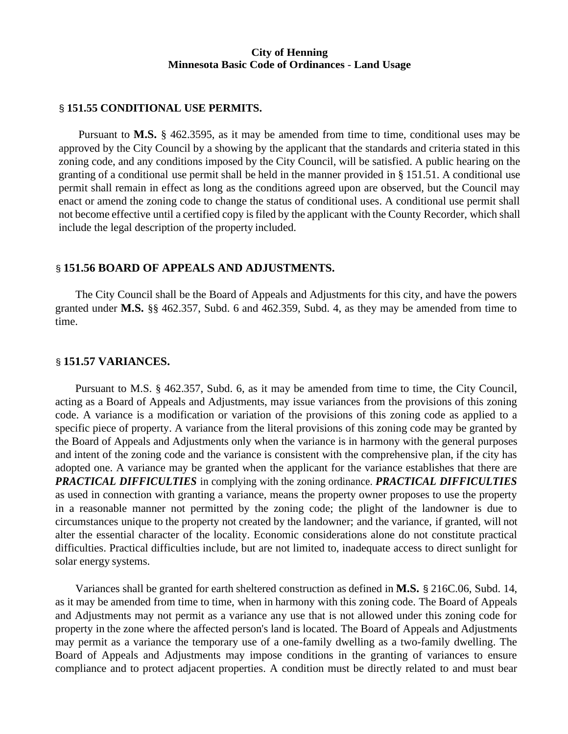#### § **151.55 CONDITIONAL USE PERMITS.**

Pursuant to **M.S.** § 462.3595, as it may be amended from time to time, conditional uses may be approved by the City Council by a showing by the applicant that the standards and criteria stated in this zoning code, and any conditions imposed by the City Council, will be satisfied. A public hearing on the granting of a conditional use permit shall be held in the manner provided in § 151.51. A conditional use permit shall remain in effect as long as the conditions agreed upon are observed, but the Council may enact or amend the zoning code to change the status of conditional uses. A conditional use permit shall not become effective until a certified copy isfiled by the applicant with the County Recorder, which shall include the legal description of the property included.

#### § **151.56 BOARD OF APPEALS AND ADJUSTMENTS.**

The City Council shall be the Board of Appeals and Adjustments for this city, and have the powers granted under **M.S.** §§ 462.357, Subd. 6 and 462.359, Subd. 4, as they may be amended from time to time.

#### § **151.57 VARIANCES.**

Pursuant to M.S. § 462.357, Subd. 6, as it may be amended from time to time, the City Council, acting as a Board of Appeals and Adjustments, may issue variances from the provisions of this zoning code. A variance is a modification or variation of the provisions of this zoning code as applied to a specific piece of property. A variance from the literal provisions of this zoning code may be granted by the Board of Appeals and Adjustments only when the variance is in harmony with the general purposes and intent of the zoning code and the variance is consistent with the comprehensive plan, if the city has adopted one. A variance may be granted when the applicant for the variance establishes that there are *PRACTICAL DIFFICULTIES* in complying with the zoning ordinance. *PRACTICAL DIFFICULTIES*  as used in connection with granting a variance, means the property owner proposes to use the property in a reasonable manner not permitted by the zoning code; the plight of the landowner is due to circumstances unique to the property not created by the landowner; and the variance, if granted, will not alter the essential character of the locality. Economic considerations alone do not constitute practical difficulties. Practical difficulties include, but are not limited to, inadequate access to direct sunlight for solar energy systems.

Variances shall be granted for earth sheltered construction as defined in **M.S.** § 216C.06, Subd. 14, as it may be amended from time to time, when in harmony with this zoning code. The Board of Appeals and Adjustments may not permit as a variance any use that is not allowed under this zoning code for property in the zone where the affected person's land is located. The Board of Appeals and Adjustments may permit as a variance the temporary use of a one-family dwelling as a two-family dwelling. The Board of Appeals and Adjustments may impose conditions in the granting of variances to ensure compliance and to protect adjacent properties. A condition must be directly related to and must bear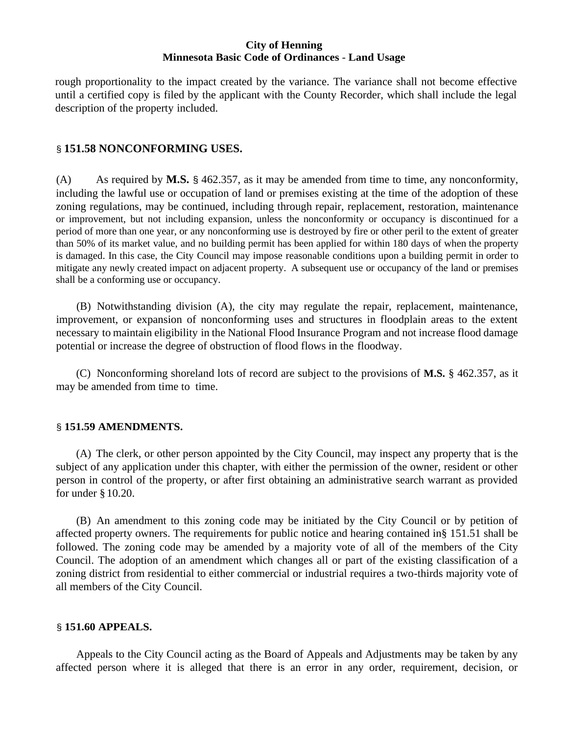rough proportionality to the impact created by the variance. The variance shall not become effective until a certified copy is filed by the applicant with the County Recorder, which shall include the legal description of the property included.

## § **151.58 NONCONFORMING USES.**

(A) As required by **M.S.** § 462.357, as it may be amended from time to time, any nonconformity, including the lawful use or occupation of land or premises existing at the time of the adoption of these zoning regulations, may be continued, including through repair, replacement, restoration, maintenance or improvement, but not including expansion, unless the nonconformity or occupancy is discontinued for a period of more than one year, or any nonconforming use is destroyed by fire or other peril to the extent of greater than 50% of its market value, and no building permit has been applied for within 180 days of when the property is damaged. In this case, the City Council may impose reasonable conditions upon a building permit in order to mitigate any newly created impact on adjacent property. A subsequent use or occupancy of the land or premises shall be a conforming use or occupancy.

(B) Notwithstanding division (A), the city may regulate the repair, replacement, maintenance, improvement, or expansion of nonconforming uses and structures in floodplain areas to the extent necessary to maintain eligibility in the National Flood Insurance Program and not increase flood damage potential or increase the degree of obstruction of flood flows in the floodway.

(C) Nonconforming shoreland lots of record are subject to the provisions of **M.S.** § 462.357, as it may be amended from time to time.

#### § **151.59 AMENDMENTS.**

(A) The clerk, or other person appointed by the City Council, may inspect any property that is the subject of any application under this chapter, with either the permission of the owner, resident or other person in control of the property, or after first obtaining an administrative search warrant as provided for under § 10.20.

(B) An amendment to this zoning code may be initiated by the City Council or by petition of affected property owners. The requirements for public notice and hearing contained in§ 151.51 shall be followed. The zoning code may be amended by a majority vote of all of the members of the City Council. The adoption of an amendment which changes all or part of the existing classification of a zoning district from residential to either commercial or industrial requires a two-thirds majority vote of all members of the City Council.

## § **151.60 APPEALS.**

Appeals to the City Council acting as the Board of Appeals and Adjustments may be taken by any affected person where it is alleged that there is an error in any order, requirement, decision, or